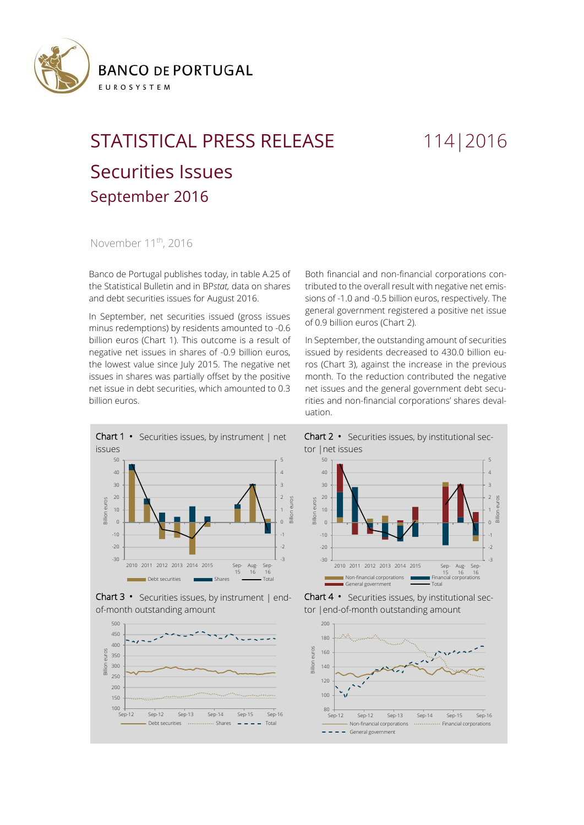

## STATISTICAL PRESS RELEASE 114 | 2016 Securities Issues September 2016

November 11<sup>th</sup>, 2016

Banco de Portugal publishes today, in table A.25 of the Statistical Bulletin and in BP*stat,* data on shares and debt securities issues for August 2016.

In September, net securities issued (gross issues minus redemptions) by residents amounted to -0.6 billion euros (Chart 1). This outcome is a result of negative net issues in shares of -0.9 billion euros, the lowest value since July 2015. The negative net issues in shares was partially offset by the positive net issue in debt securities, which amounted to 0.3 billion euros.







Both financial and non-financial corporations contributed to the overall result with negative net emissions of -1.0 and -0.5 billion euros, respectively. The general government registered a positive net issue of 0.9 billion euros (Chart 2).

In September, the outstanding amount of securities issued by residents decreased to 430.0 billion euros (Chart 3), against the increase in the previous month. To the reduction contributed the negative net issues and the general government debt securities and non-financial corporations' shares devaluation.